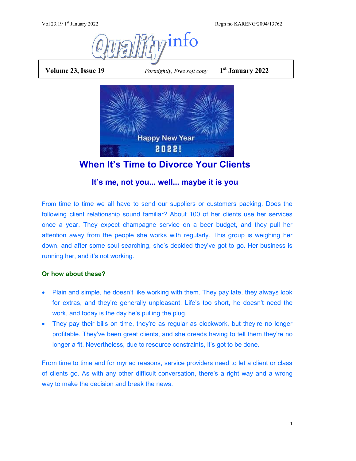Regn no KARENG/2004/13762



**Volume 23, Issue 19** *Fortnightly, Free soft copy* 

**st January 2022**



**When It's Time to Divorce Your Clients**

# **It's me, not you... well... maybe it is you**

From time to time we all have to send our suppliers or customers packing. Does the following client relationship sound familiar? About 100 of her clients use her services once a year. They expect champagne service on a beer budget, and they pull her attention away from the people she works with regularly. This group is weighing her down, and after some soul searching, she's decided they've got to go. Her business is running her, and it's not working.

## **Or how about these?**

- Plain and simple, he doesn't like working with them. They pay late, they always look for extras, and they're generally unpleasant. Life's too short, he doesn't need the work, and today is the day he's pulling the plug.
- They pay their bills on time, they're as regular as clockwork, but they're no longer profitable. They've been great clients, and she dreads having to tell them they're no longer a fit. Nevertheless, due to resource constraints, it's got to be done.

From time to time and for myriad reasons, service providers need to let a client or class of clients go. As with any other difficult conversation, there's a right way and a wrong way to make the decision and break the news.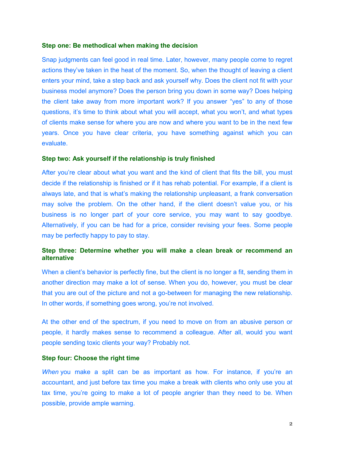### **Step one: Be methodical when making the decision**

Snap judgments can feel good in real time. Later, however, many people come to regret actions they've taken in the heat of the moment. So, when the thought of leaving a client enters your mind, take a step back and ask yourself why. Does the client not fit with your business model anymore? Does the person bring you down in some way? Does helping the client take away from more important work? If you answer "yes" to any of those questions, it's time to think about what you will accept, what you won't, and what types of clients make sense for where you are now and where you want to be in the next few years. Once you have clear criteria, you have something against which you can evaluate.

### **Step two: Ask yourself if the relationship is truly finished**

After you're clear about what you want and the kind of client that fits the bill, you must decide if the relationship is finished or if it has rehab potential. For example, if a client is always late, and that is what's making the relationship unpleasant, a frank conversation may solve the problem. On the other hand, if the client doesn't value you, or his business is no longer part of your core service, you may want to say goodbye. Alternatively, if you can be had for a price, consider revising your fees. Some people may be perfectly happy to pay to stay.

### **Step three: Determine whether you will make a clean break or recommend an alternative**

When a client's behavior is perfectly fine, but the client is no longer a fit, sending them in another direction may make a lot of sense. When you do, however, you must be clear that you are out of the picture and not a go-between for managing the new relationship. In other words, if something goes wrong, you're not involved.

At the other end of the spectrum, if you need to move on from an abusive person or people, it hardly makes sense to recommend a colleague. After all, would you want people sending toxic clients your way? Probably not.

### **Step four: Choose the right time**

*When* you make a split can be as important as how. For instance, if you're an accountant, and just before tax time you make a break with clients who only use you at tax time, you're going to make a lot of people angrier than they need to be. When possible, provide ample warning.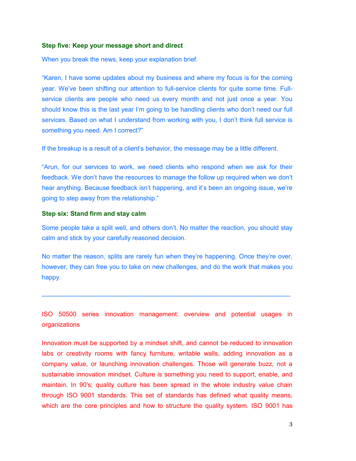### **Step five: Keep your message short and direct**

When you break the news, keep your explanation brief.

"Karen, I have some updates about my business and where my focus is for the coming year. We've been shifting our attention to full-service clients for quite some time. Fullservice clients are people who need us every month and not just once a year. You should know this is the last year I'm going to be handling clients who don't need our full services. Based on what I understand from working with you, I don't think full service is something you need. Am I correct?"

If the breakup is a result of a client's behavior, the message may be a little different.

"Arun, for our services to work, we need clients who respond when we ask for their feedback. We don't have the resources to manage the follow up required when we don't hear anything. Because feedback isn't happening, and it's been an ongoing issue, we're going to step away from the relationship."

### **Step six: Stand firm and stay calm**

Some people take a split well, and others don't. No matter the reaction, you should stay calm and stick by your carefully reasoned decision.

No matter the reason, splits are rarely fun when they're happening. Once they're over, however, they can free you to take on new challenges, and do the work that makes you happy.

---------------------------------------------------------------------------------------------------------------------

ISO 50500 series innovation management: overview and potential usages in organizations

Innovation must be supported by a mindset shift, and cannot be reduced to innovation labs or creativity rooms with fancy furniture, writable walls, adding innovation as a company value, or launching innovation challenges. Those will generate buzz, not a sustainable innovation mindset. Culture is something you need to support, enable, and maintain. In 90's; quality culture has been spread in the whole industry value chain through ISO 9001 standards. This set of standards has defined what quality means, which are the core principles and how to structure the quality system. ISO 9001 has